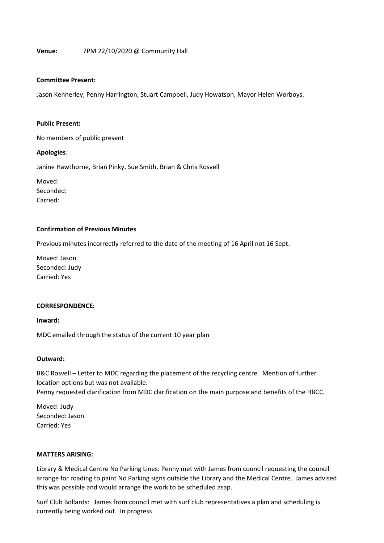### **Venue:** 7PM 22/10/2020 @ Community Hall

#### **Committee Present:**

Jason Kennerley, Penny Harrington, Stuart Campbell, Judy Howatson, Mayor Helen Worboys.

### **Public Present:**

No members of public present

### **Apologies**:

Janine Hawthorne, Brian Pinky, Sue Smith, Brian & Chris Rosvell

Moved: Seconded: Carried:

### **Confirmation of Previous Minutes**

Previous minutes incorrectly referred to the date of the meeting of 16 April not 16 Sept.

Moved: Jason Seconded: Judy Carried: Yes

#### **CORRESPONDENCE:**

**Inward:**

MDC emailed through the status of the current 10 year plan

### **Outward:**

B&C Rosvell – Letter to MDC regarding the placement of the recycling centre. Mention of further location options but was not available.

Penny requested clarification from MDC clarification on the main purpose and benefits of the HBCC.

Moved: Judy Seconded: Jason Carried: Yes

### **MATTERS ARISING:**

Library & Medical Centre No Parking Lines: Penny met with James from council requesting the council arrange for roading to paint No Parking signs outside the Library and the Medical Centre. James advised this was possible and would arrange the work to be scheduled asap.

Surf Club Bollards: James from council met with surf club representatives a plan and scheduling is currently being worked out. In progress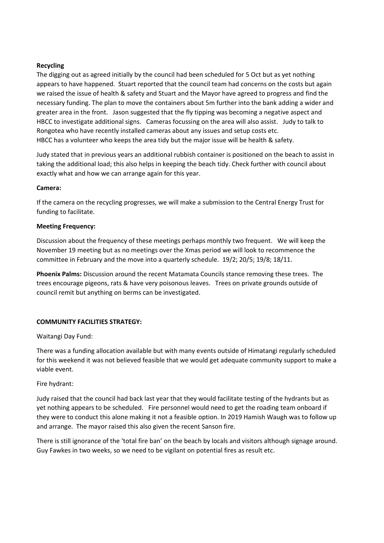# **Recycling**

The digging out as agreed initially by the council had been scheduled for 5 Oct but as yet nothing appears to have happened. Stuart reported that the council team had concerns on the costs but again we raised the issue of health & safety and Stuart and the Mayor have agreed to progress and find the necessary funding. The plan to move the containers about 5m further into the bank adding a wider and greater area in the front. Jason suggested that the fly tipping was becoming a negative aspect and HBCC to investigate additional signs. Cameras focussing on the area will also assist. Judy to talk to Rongotea who have recently installed cameras about any issues and setup costs etc. HBCC has a volunteer who keeps the area tidy but the major issue will be health & safety.

Judy stated that in previous years an additional rubbish container is positioned on the beach to assist in taking the additional load; this also helps in keeping the beach tidy. Check further with council about exactly what and how we can arrange again for this year.

# **Camera:**

If the camera on the recycling progresses, we will make a submission to the Central Energy Trust for funding to facilitate.

# **Meeting Frequency:**

Discussion about the frequency of these meetings perhaps monthly two frequent. We will keep the November 19 meeting but as no meetings over the Xmas period we will look to recommence the committee in February and the move into a quarterly schedule. 19/2; 20/5; 19/8; 18/11.

**Phoenix Palms:** Discussion around the recent Matamata Councils stance removing these trees. The trees encourage pigeons, rats & have very poisonous leaves. Trees on private grounds outside of council remit but anything on berms can be investigated.

# **COMMUNITY FACILITIES STRATEGY:**

Waitangi Day Fund:

There was a funding allocation available but with many events outside of Himatangi regularly scheduled for this weekend it was not believed feasible that we would get adequate community support to make a viable event.

# Fire hydrant:

Judy raised that the council had back last year that they would facilitate testing of the hydrants but as yet nothing appears to be scheduled. Fire personnel would need to get the roading team onboard if they were to conduct this alone making it not a feasible option. In 2019 Hamish Waugh was to follow up and arrange. The mayor raised this also given the recent Sanson fire.

There is still ignorance of the 'total fire ban' on the beach by locals and visitors although signage around. Guy Fawkes in two weeks, so we need to be vigilant on potential fires as result etc.